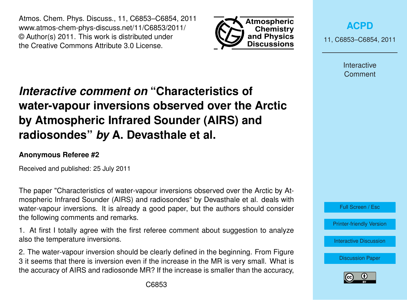Atmos. Chem. Phys. Discuss., 11, C6853–C6854, 2011 www.atmos-chem-phys-discuss.net/11/C6853/2011/ © Author(s) 2011. This work is distributed under the Creative Commons Attribute 3.0 License.



**[ACPD](http://www.atmos-chem-phys-discuss.net)**

11, C6853–C6854, 2011

Interactive **Comment** 

## *Interactive comment on* **"Characteristics of water-vapour inversions observed over the Arctic by Atmospheric Infrared Sounder (AIRS) and radiosondes"** *by* **A. Devasthale et al.**

## **Anonymous Referee #2**

Received and published: 25 July 2011

The paper "Characteristics of water-vapour inversions observed over the Arctic by Atmospheric Infrared Sounder (AIRS) and radiosondes" by Devasthale et al. deals with water-vapour inversions. It is already a good paper, but the authors should consider the following comments and remarks.

1. At first I totally agree with the first referee comment about suggestion to analyze also the temperature inversions.

2. The water-vapour inversion should be clearly defined in the beginning. From Figure 3 it seems that there is inversion even if the increase in the MR is very small. What is the accuracy of AIRS and radiosonde MR? If the increase is smaller than the accuracy,